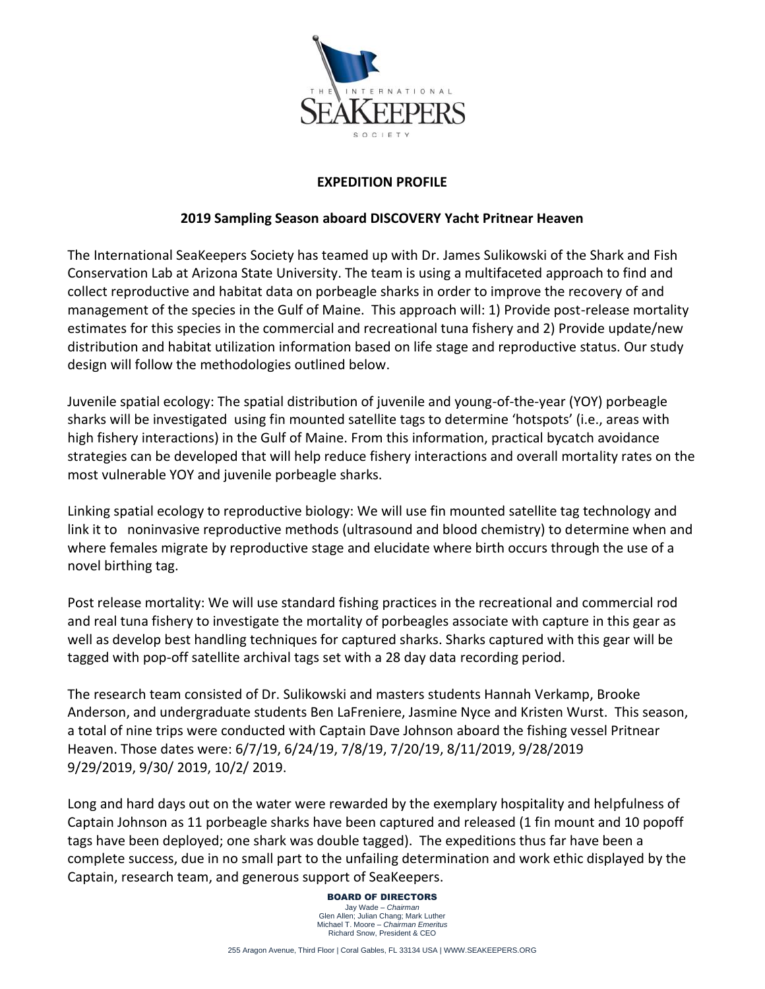

## **EXPEDITION PROFILE**

## **2019 Sampling Season aboard DISCOVERY Yacht Pritnear Heaven**

The International SeaKeepers Society has teamed up with Dr. James Sulikowski of the Shark and Fish Conservation Lab at Arizona State University. The team is using a multifaceted approach to find and collect reproductive and habitat data on porbeagle sharks in order to improve the recovery of and management of the species in the Gulf of Maine. This approach will: 1) Provide post-release mortality estimates for this species in the commercial and recreational tuna fishery and 2) Provide update/new distribution and habitat utilization information based on life stage and reproductive status. Our study design will follow the methodologies outlined below.

Juvenile spatial ecology: The spatial distribution of juvenile and young-of-the-year (YOY) porbeagle sharks will be investigated using fin mounted satellite tags to determine 'hotspots' (i.e., areas with high fishery interactions) in the Gulf of Maine. From this information, practical bycatch avoidance strategies can be developed that will help reduce fishery interactions and overall mortality rates on the most vulnerable YOY and juvenile porbeagle sharks.

Linking spatial ecology to reproductive biology: We will use fin mounted satellite tag technology and link it to noninvasive reproductive methods (ultrasound and blood chemistry) to determine when and where females migrate by reproductive stage and elucidate where birth occurs through the use of a novel birthing tag.

Post release mortality: We will use standard fishing practices in the recreational and commercial rod and real tuna fishery to investigate the mortality of porbeagles associate with capture in this gear as well as develop best handling techniques for captured sharks. Sharks captured with this gear will be tagged with pop-off satellite archival tags set with a 28 day data recording period.

The research team consisted of Dr. Sulikowski and masters students Hannah Verkamp, Brooke Anderson, and undergraduate students Ben LaFreniere, Jasmine Nyce and Kristen Wurst. This season, a total of nine trips were conducted with Captain Dave Johnson aboard the fishing vessel Pritnear Heaven. Those dates were: 6/7/19, 6/24/19, 7/8/19, 7/20/19, 8/11/2019, 9/28/2019 9/29/2019, 9/30/ 2019, 10/2/ 2019.

Long and hard days out on the water were rewarded by the exemplary hospitality and helpfulness of Captain Johnson as 11 porbeagle sharks have been captured and released (1 fin mount and 10 popoff tags have been deployed; one shark was double tagged). The expeditions thus far have been a complete success, due in no small part to the unfailing determination and work ethic displayed by the Captain, research team, and generous support of SeaKeepers.

> BOARD OF DIRECTORS Jay Wade – *Chairman* Glen Allen; Julian Chang; Mark Luther Michael T. Moore – *Chairman Emeritus* Richard Snow, President & CEO